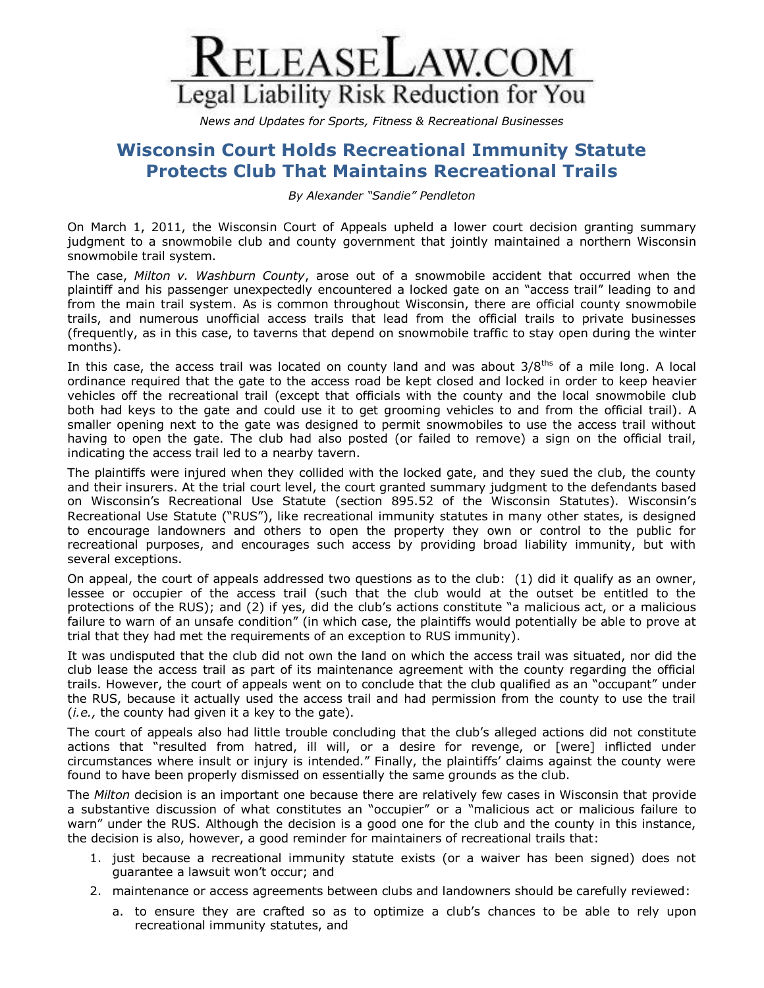

*News and Updates for Sports, Fitness & Recreational Businesses*

## **Wisconsin Court Holds Recreational Immunity Statute Protects Club That Maintains Recreational Trails**

*By Alexander "Sandie" Pendleton*

On March 1, 2011, the Wisconsin Court of Appeals upheld a lower court decision granting summary judgment to a snowmobile club and county government that jointly maintained a northern Wisconsin snowmobile trail system.

The case, *Milton v. Washburn County*, arose out of a snowmobile accident that occurred when the plaintiff and his passenger unexpectedly encountered a locked gate on an "access trail" leading to and from the main trail system. As is common throughout Wisconsin, there are official county snowmobile trails, and numerous unofficial access trails that lead from the official trails to private businesses (frequently, as in this case, to taverns that depend on snowmobile traffic to stay open during the winter months).

In this case, the access trail was located on county land and was about  $3/8^{th}$  of a mile long. A local ordinance required that the gate to the access road be kept closed and locked in order to keep heavier vehicles off the recreational trail (except that officials with the county and the local snowmobile club both had keys to the gate and could use it to get grooming vehicles to and from the official trail). A smaller opening next to the gate was designed to permit snowmobiles to use the access trail without having to open the gate. The club had also posted (or failed to remove) a sign on the official trail, indicating the access trail led to a nearby tavern.

The plaintiffs were injured when they collided with the locked gate, and they sued the club, the county and their insurers. At the trial court level, the court granted summary judgment to the defendants based on Wisconsin's Recreational Use Statute (section 895.52 of the Wisconsin Statutes). Wisconsin's Recreational Use Statute ("RUS"), like recreational immunity statutes in many other states, is designed to encourage landowners and others to open the property they own or control to the public for recreational purposes, and encourages such access by providing broad liability immunity, but with several exceptions.

On appeal, the court of appeals addressed two questions as to the club: (1) did it qualify as an owner, lessee or occupier of the access trail (such that the club would at the outset be entitled to the protections of the RUS); and (2) if yes, did the club's actions constitute "a malicious act, or a malicious failure to warn of an unsafe condition" (in which case, the plaintiffs would potentially be able to prove at trial that they had met the requirements of an exception to RUS immunity).

It was undisputed that the club did not own the land on which the access trail was situated, nor did the club lease the access trail as part of its maintenance agreement with the county regarding the official trails. However, the court of appeals went on to conclude that the club qualified as an "occupant" under the RUS, because it actually used the access trail and had permission from the county to use the trail (*i.e.,* the county had given it a key to the gate).

The court of appeals also had little trouble concluding that the club's alleged actions did not constitute actions that "resulted from hatred, ill will, or a desire for revenge, or [were] inflicted under circumstances where insult or injury is intended." Finally, the plaintiffs' claims against the county were found to have been properly dismissed on essentially the same grounds as the club.

The *Milton* decision is an important one because there are relatively few cases in Wisconsin that provide a substantive discussion of what constitutes an "occupier" or a "malicious act or malicious failure to warn" under the RUS. Although the decision is a good one for the club and the county in this instance, the decision is also, however, a good reminder for maintainers of recreational trails that:

- 1. just because a recreational immunity statute exists (or a waiver has been signed) does not guarantee a lawsuit won't occur; and
- 2. maintenance or access agreements between clubs and landowners should be carefully reviewed:
	- a. to ensure they are crafted so as to optimize a club's chances to be able to rely upon recreational immunity statutes, and